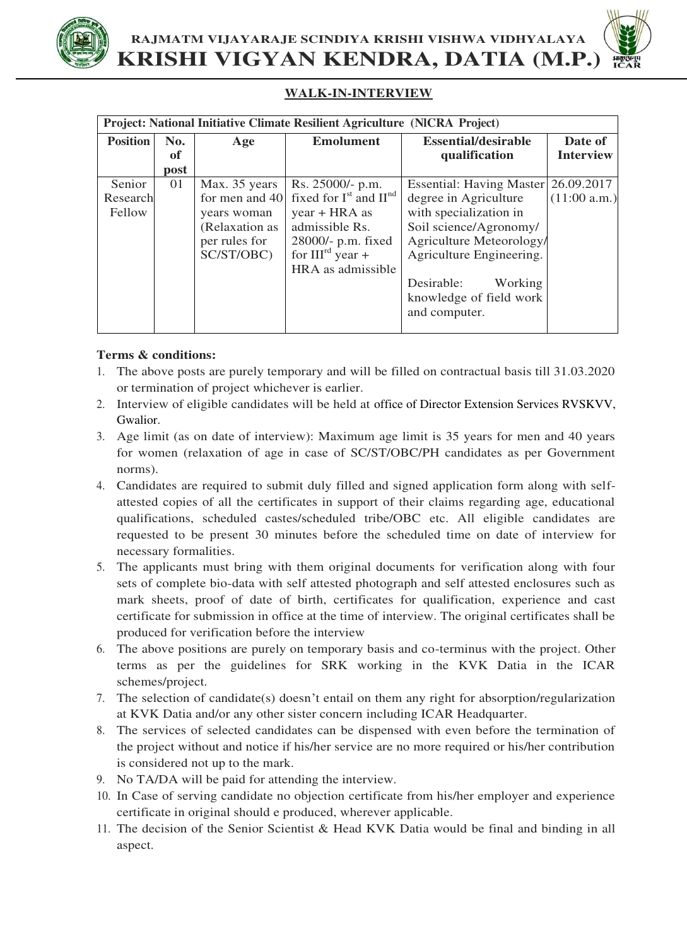

**RAJMATM VIJAYARAJE SCINDIYA KRISHI VISHWA VIDHYALAYA KRISHI VIGYAN KENDRA, DATIA (M.P.)**

## **WALK-IN-INTERVIEW**

| Project: National Initiative Climate Resilient Agriculture (NICRA Project) |      |                |                            |                            |                  |
|----------------------------------------------------------------------------|------|----------------|----------------------------|----------------------------|------------------|
| <b>Position</b>                                                            | No.  | Age            | <b>Emolument</b>           | <b>Essential/desirable</b> | Date of          |
|                                                                            | of   |                |                            | qualification              | <b>Interview</b> |
|                                                                            | post |                |                            |                            |                  |
| Senior                                                                     | 01   | Max. 35 years  | Rs. 25000/- p.m.           | Essential: Having Master   | 26.09.2017       |
| Research                                                                   |      | for men and 40 | fixed for $Ist$ and $IInd$ | degree in Agriculture      | (11:00 a.m.)     |
| Fellow                                                                     |      | years woman    | $year + HRA$ as            | with specialization in     |                  |
|                                                                            |      | (Relaxation as | admissible Rs.             | Soil science/Agronomy/     |                  |
|                                                                            |      | per rules for  | 28000/- p.m. fixed         | Agriculture Meteorology/   |                  |
|                                                                            |      | SC/ST/OBC)     | for $III^{rd}$ year +      | Agriculture Engineering.   |                  |
|                                                                            |      |                | HRA as admissible          |                            |                  |
|                                                                            |      |                |                            | Desirable:<br>Working      |                  |
|                                                                            |      |                |                            | knowledge of field work    |                  |
|                                                                            |      |                |                            | and computer.              |                  |
|                                                                            |      |                |                            |                            |                  |

## **Terms & conditions:**

- 1. The above posts are purely temporary and will be filled on contractual basis till 31.03.2020 or termination of project whichever is earlier.
- 2. Interview of eligible candidates will be held at office of Director Extension Services RVSKVV, Gwalior.
- 3. Age limit (as on date of interview): Maximum age limit is 35 years for men and 40 years for women (relaxation of age in case of SC/ST/OBC/PH candidates as per Government norms).
- 4. Candidates are required to submit duly filled and signed application form along with selfattested copies of all the certificates in support of their claims regarding age, educational qualifications, scheduled castes/scheduled tribe/OBC etc. All eligible candidates are requested to be present 30 minutes before the scheduled time on date of interview for necessary formalities.
- 5. The applicants must bring with them original documents for verification along with four sets of complete bio-data with self attested photograph and self attested enclosures such as mark sheets, proof of date of birth, certificates for qualification, experience and cast certificate for submission in office at the time of interview. The original certificates shall be produced for verification before the interview
- 6. The above positions are purely on temporary basis and co-terminus with the project. Other terms as per the guidelines for SRK working in the KVK Datia in the ICAR schemes/project.
- 7. The selection of candidate(s) doesn't entail on them any right for absorption/regularization at KVK Datia and/or any other sister concern including ICAR Headquarter.
- 8. The services of selected candidates can be dispensed with even before the termination of the project without and notice if his/her service are no more required or his/her contribution is considered not up to the mark.
- 9. No TA/DA will be paid for attending the interview.
- 10. In Case of serving candidate no objection certificate from his/her employer and experience certificate in original should e produced, wherever applicable.
- 11. The decision of the Senior Scientist & Head KVK Datia would be final and binding in all aspect.

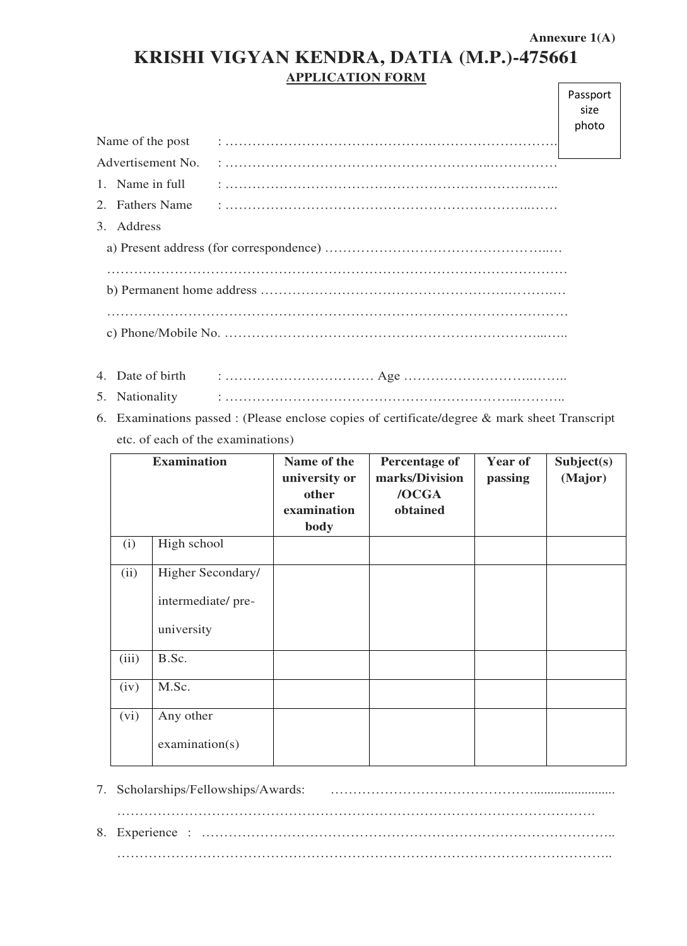٦

| KRISHI VIGYAN KENDRA, DATIA (M.P.)-475661 |  |
|-------------------------------------------|--|
| <b>APPLICATION FORM</b>                   |  |

|                                    | Passport |
|------------------------------------|----------|
|                                    | size     |
|                                    | photo    |
| Name of the post                   |          |
| Advertisement No.                  |          |
| Name in full<br>$\mathbf{1}$       |          |
| <b>Fathers Name</b><br>$2^{\circ}$ |          |
| Address<br>3.                      |          |
|                                    |          |
|                                    |          |
|                                    |          |
|                                    |          |
|                                    |          |
|                                    |          |
| 4. Date of birth                   |          |

- 5. Nationality : ………………………………………………………..………..
- 6. Examinations passed : (Please enclose copies of certificate/degree & mark sheet Transcript etc. of each of the examinations)

|       | <b>Examination</b>                                   | Name of the<br>university or<br>other<br>examination<br>body | <b>Percentage of</b><br>marks/Division<br>/OCGA<br>obtained | Year of<br>passing | Subject(s)<br>(Major) |
|-------|------------------------------------------------------|--------------------------------------------------------------|-------------------------------------------------------------|--------------------|-----------------------|
| (i)   | High school                                          |                                                              |                                                             |                    |                       |
| (ii)  | Higher Secondary/<br>intermediate/pre-<br>university |                                                              |                                                             |                    |                       |
| (iii) | B.Sc.                                                |                                                              |                                                             |                    |                       |
| (iv)  | M.Sc.                                                |                                                              |                                                             |                    |                       |
| (vi)  | Any other<br>examination(s)                          |                                                              |                                                             |                    |                       |

- 7. Scholarships/Fellowships/Awards: ………………………………………........................ …………………………………………………………………………………………….
- 8. Experience : ……………………………………………………………………………….. ………………………………………………………………………………………………..